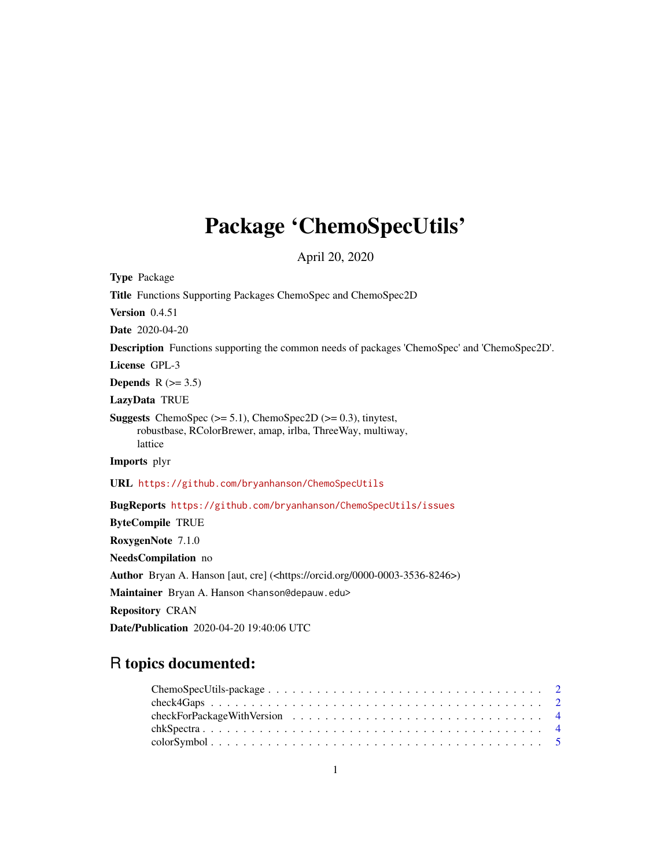## Package 'ChemoSpecUtils'

April 20, 2020

<span id="page-0-0"></span>Type Package Title Functions Supporting Packages ChemoSpec and ChemoSpec2D Version 0.4.51 Date 2020-04-20 Description Functions supporting the common needs of packages 'ChemoSpec' and 'ChemoSpec2D'. License GPL-3 Depends  $R$  ( $>= 3.5$ ) LazyData TRUE **Suggests** ChemoSpec  $(>= 5.1)$ , ChemoSpec2D  $(>= 0.3)$ , tinytest, robustbase, RColorBrewer, amap, irlba, ThreeWay, multiway, lattice Imports plyr URL <https://github.com/bryanhanson/ChemoSpecUtils> BugReports <https://github.com/bryanhanson/ChemoSpecUtils/issues> ByteCompile TRUE RoxygenNote 7.1.0 NeedsCompilation no Author Bryan A. Hanson [aut, cre] (<https://orcid.org/0000-0003-3536-8246>) Maintainer Bryan A. Hanson <hanson@depauw.edu> Repository CRAN Date/Publication 2020-04-20 19:40:06 UTC

## R topics documented: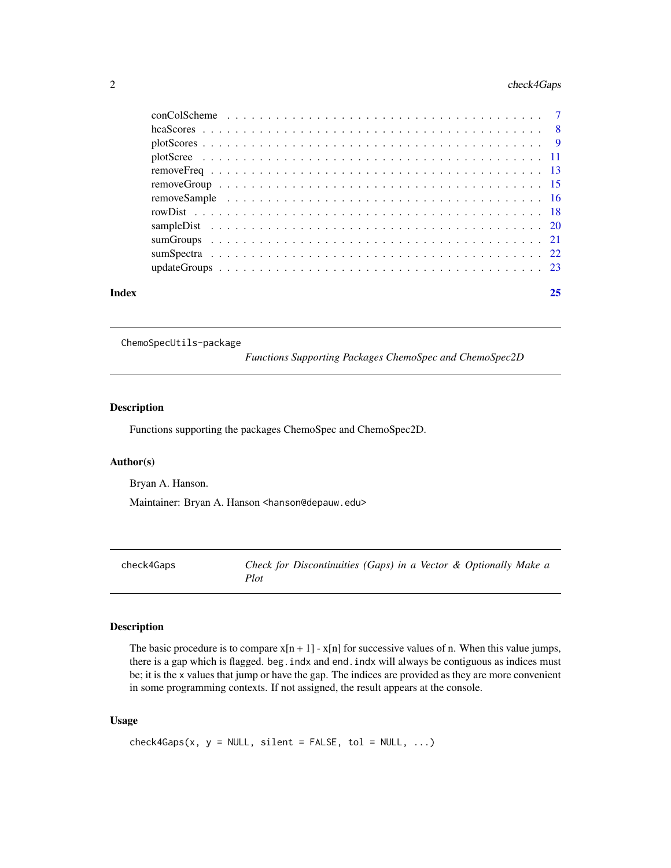## <span id="page-1-0"></span>2 check4Gaps

| Index |  |  |  |  |  |  |  |  |  |  |  |  |  |  |  | 25 |
|-------|--|--|--|--|--|--|--|--|--|--|--|--|--|--|--|----|

ChemoSpecUtils-package

*Functions Supporting Packages ChemoSpec and ChemoSpec2D*

#### Description

Functions supporting the packages ChemoSpec and ChemoSpec2D.

#### Author(s)

Bryan A. Hanson.

Maintainer: Bryan A. Hanson <hanson@depauw.edu>

check4Gaps *Check for Discontinuities (Gaps) in a Vector & Optionally Make a Plot*

## Description

The basic procedure is to compare  $x[n + 1] - x[n]$  for successive values of n. When this value jumps, there is a gap which is flagged. beg. indx and end. indx will always be contiguous as indices must be; it is the x values that jump or have the gap. The indices are provided as they are more convenient in some programming contexts. If not assigned, the result appears at the console.

#### Usage

```
check4Gaps(x, y = NULL, silent = FALSE, tol = NULL, ...)
```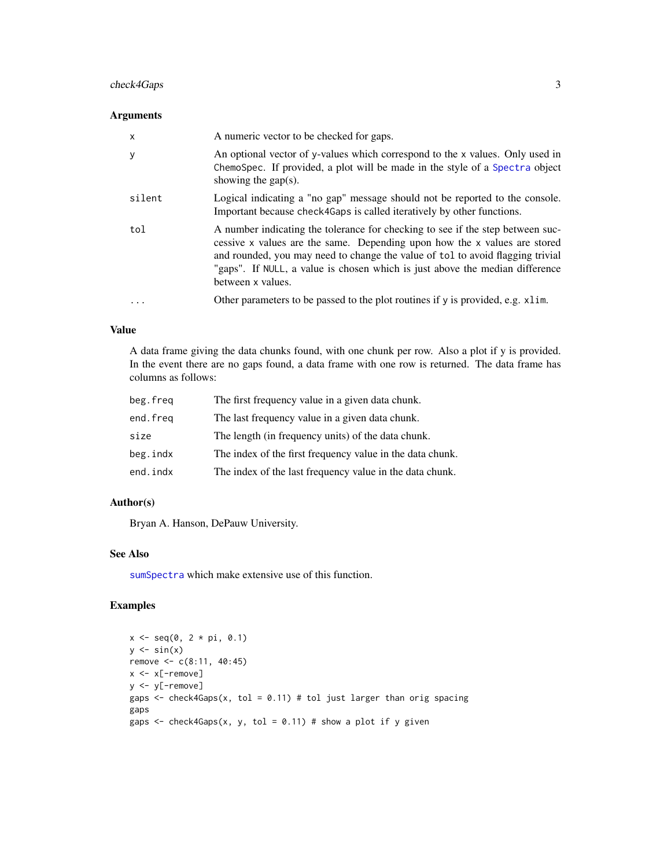## <span id="page-2-0"></span>check4Gaps 3

## Arguments

| $\mathsf{x}$ | A numeric vector to be checked for gaps.                                                                                                                                                                                                                                                                                                           |
|--------------|----------------------------------------------------------------------------------------------------------------------------------------------------------------------------------------------------------------------------------------------------------------------------------------------------------------------------------------------------|
| y            | An optional vector of y-values which correspond to the x values. Only used in<br>ChemoSpec. If provided, a plot will be made in the style of a Spectra object<br>showing the gap(s).                                                                                                                                                               |
| silent       | Logical indicating a "no gap" message should not be reported to the console.<br>Important because check4Gaps is called iteratively by other functions.                                                                                                                                                                                             |
| tol          | A number indicating the tolerance for checking to see if the step between suc-<br>cessive x values are the same. Depending upon how the x values are stored<br>and rounded, you may need to change the value of tol to avoid flagging trivial<br>"gaps". If NULL, a value is chosen which is just above the median difference<br>between x values. |
| $\ddotsc$    | Other parameters to be passed to the plot routines if y is provided, e.g. x1im.                                                                                                                                                                                                                                                                    |

#### Value

A data frame giving the data chunks found, with one chunk per row. Also a plot if y is provided. In the event there are no gaps found, a data frame with one row is returned. The data frame has columns as follows:

| beg.freq | The first frequency value in a given data chunk.          |
|----------|-----------------------------------------------------------|
| end.freg | The last frequency value in a given data chunk.           |
| size     | The length (in frequency units) of the data chunk.        |
| beg.indx | The index of the first frequency value in the data chunk. |
| end.indx | The index of the last frequency value in the data chunk.  |

#### Author(s)

Bryan A. Hanson, DePauw University.

#### See Also

[sumSpectra](#page-21-1) which make extensive use of this function.

```
x \leq -\text{seq}(0, 2 * \text{pi}, 0.1)y \leftarrow \sin(x)remove <- c(8:11, 40:45)
x < -x[-remove]
y <- y[-remove]
gaps \le check4Gaps(x, tol = 0.11) # tol just larger than orig spacing
gaps
gaps \le - check4Gaps(x, y, tol = 0.11) # show a plot if y given
```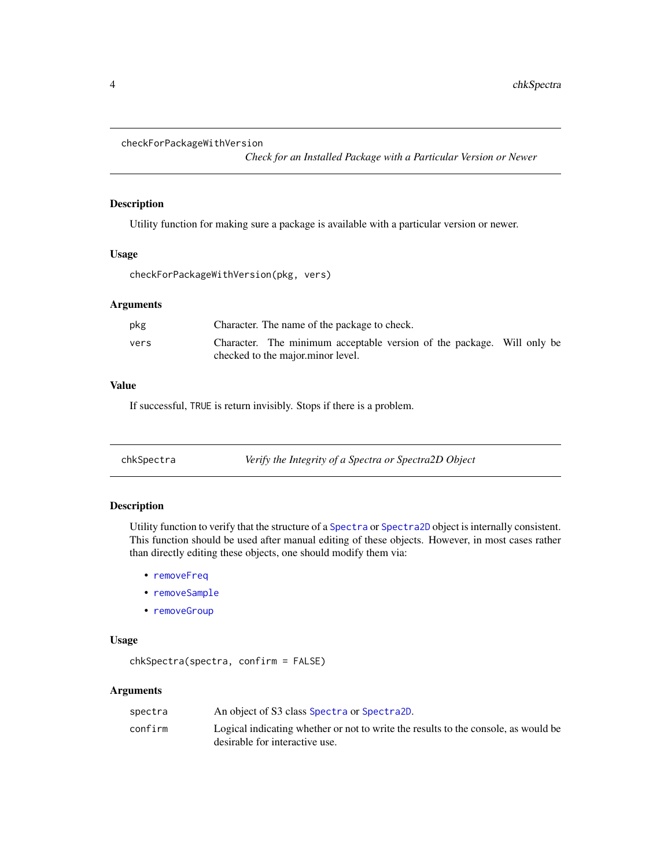```
checkForPackageWithVersion
```
*Check for an Installed Package with a Particular Version or Newer*

#### Description

Utility function for making sure a package is available with a particular version or newer.

#### Usage

checkForPackageWithVersion(pkg, vers)

## Arguments

| pkg  | Character. The name of the package to check.                                                                |
|------|-------------------------------------------------------------------------------------------------------------|
| vers | Character. The minimum acceptable version of the package. Will only be<br>checked to the major minor level. |
|      |                                                                                                             |

## Value

If successful, TRUE is return invisibly. Stops if there is a problem.

<span id="page-3-1"></span>

| chkSpectra | Verify the Integrity of a Spectra or Spectra2D Object |
|------------|-------------------------------------------------------|
|            |                                                       |

## Description

Utility function to verify that the structure of a [Spectra](#page-0-0) or [Spectra2D](#page-0-0) object is internally consistent. This function should be used after manual editing of these objects. However, in most cases rather than directly editing these objects, one should modify them via:

- [removeFreq](#page-12-1)
- [removeSample](#page-15-1)
- [removeGroup](#page-14-1)

## Usage

chkSpectra(spectra, confirm = FALSE)

| spectra | An object of S3 class Spectra or Spectra2D.                                        |
|---------|------------------------------------------------------------------------------------|
| confirm | Logical indicating whether or not to write the results to the console, as would be |
|         | desirable for interactive use.                                                     |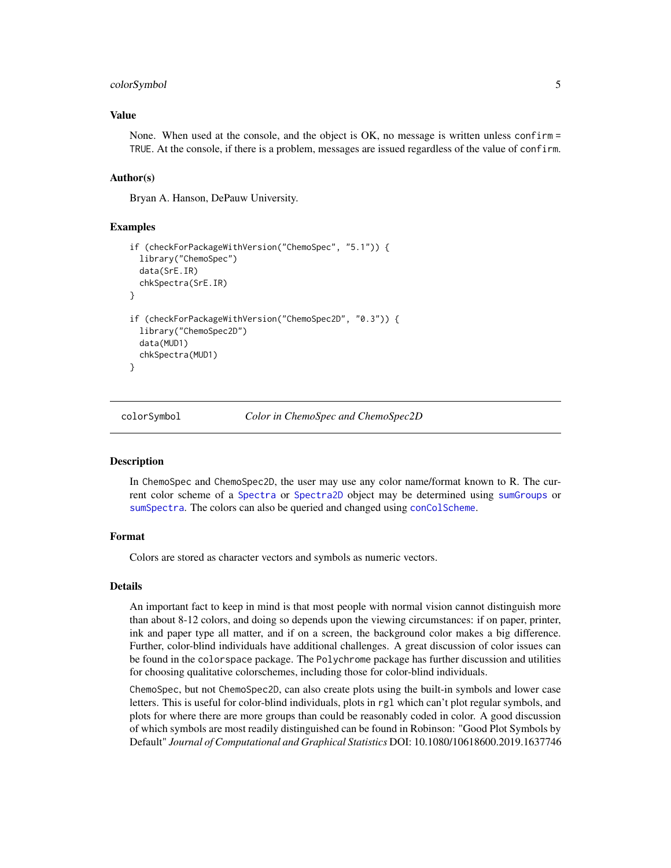#### <span id="page-4-0"></span>colorSymbol 5

#### Value

None. When used at the console, and the object is OK, no message is written unless confirm = TRUE. At the console, if there is a problem, messages are issued regardless of the value of confirm.

## Author(s)

Bryan A. Hanson, DePauw University.

## Examples

```
if (checkForPackageWithVersion("ChemoSpec", "5.1")) {
 library("ChemoSpec")
 data(SrE.IR)
 chkSpectra(SrE.IR)
}
if (checkForPackageWithVersion("ChemoSpec2D", "0.3")) {
 library("ChemoSpec2D")
 data(MUD1)
 chkSpectra(MUD1)
}
```
colorSymbol *Color in ChemoSpec and ChemoSpec2D*

#### **Description**

In ChemoSpec and ChemoSpec2D, the user may use any color name/format known to R. The current color scheme of a [Spectra](#page-0-0) or [Spectra2D](#page-0-0) object may be determined using [sumGroups](#page-20-1) or [sumSpectra](#page-21-1). The colors can also be queried and changed using [conColScheme](#page-6-1).

#### Format

Colors are stored as character vectors and symbols as numeric vectors.

#### Details

An important fact to keep in mind is that most people with normal vision cannot distinguish more than about 8-12 colors, and doing so depends upon the viewing circumstances: if on paper, printer, ink and paper type all matter, and if on a screen, the background color makes a big difference. Further, color-blind individuals have additional challenges. A great discussion of color issues can be found in the colorspace package. The Polychrome package has further discussion and utilities for choosing qualitative colorschemes, including those for color-blind individuals.

ChemoSpec, but not ChemoSpec2D, can also create plots using the built-in symbols and lower case letters. This is useful for color-blind individuals, plots in rgl which can't plot regular symbols, and plots for where there are more groups than could be reasonably coded in color. A good discussion of which symbols are most readily distinguished can be found in Robinson: "Good Plot Symbols by Default" *Journal of Computational and Graphical Statistics* DOI: 10.1080/10618600.2019.1637746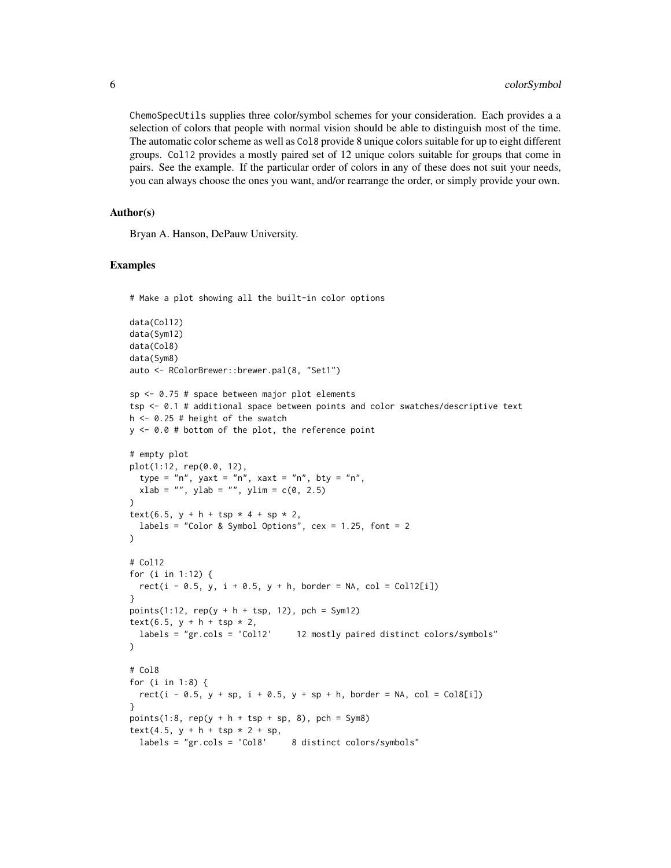ChemoSpecUtils supplies three color/symbol schemes for your consideration. Each provides a a selection of colors that people with normal vision should be able to distinguish most of the time. The automatic color scheme as well as Col8 provide 8 unique colors suitable for up to eight different groups. Col12 provides a mostly paired set of 12 unique colors suitable for groups that come in pairs. See the example. If the particular order of colors in any of these does not suit your needs, you can always choose the ones you want, and/or rearrange the order, or simply provide your own.

#### Author(s)

Bryan A. Hanson, DePauw University.

#### Examples

# Make a plot showing all the built-in color options

```
data(Col12)
data(Sym12)
data(Col8)
data(Sym8)
auto <- RColorBrewer::brewer.pal(8, "Set1")
sp \le 0.75 # space between major plot elements
tsp <- 0.1 # additional space between points and color swatches/descriptive text
h <- 0.25 # height of the swatch
y <- 0.0 # bottom of the plot, the reference point
# empty plot
plot(1:12, rep(0.0, 12),
  type = "n", yaxt = "n", xaxt = "n", bty = "n",
 xlab = "", ylab = "", ylim = c(0, 2.5)\lambdatext(6.5, y + h + tsp * 4 + sp * 2,
  labels = "Color & Symbol Options", cex = 1.25, font = 2
)
# Col12
for (i in 1:12) {
  rect(i - 0.5, y, i + 0.5, y + h, border = NA, col = Coll2[i])}
points(1:12, rep(y + h + tsp, 12), pch = Sym12)
text(6.5, y + h + tsp * 2,
  labels = "gr.cols = 'Col12' 12 mostly paired distinct colors/symbols"
)
# Col8
for (i in 1:8) {
  rect(i - 0.5, y + sp, i + 0.5, y + sp + h, border = NA, col = Col8[i])}
points(1:8, rep(y + h + typ + sp, 8), pch = Sym8)
text(4.5, y + h + tsp * 2 + sp,
 labels = "gr.cols = 'Col8' 8 distinct colors/symbols"
```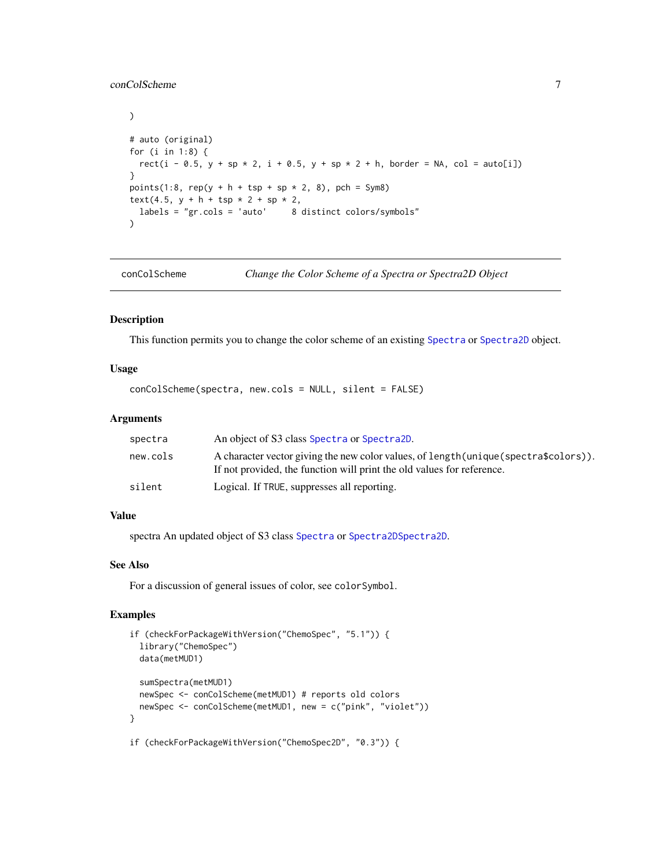## <span id="page-6-0"></span>conColScheme 7

```
\mathcal{L}# auto (original)
for (i in 1:8) {
  rect(i - 0.5, y + sp * 2, i + 0.5, y + sp * 2 + h, border = NA, col = auto[i])}
points(1:8, rep(y + h + tsp + sp * 2, 8), pch = Sym8)
text(4.5, y + h + tsp * 2 + sp * 2,
  labels = "gr.cols = 'auto' 8 distinct colors/symbols"
\lambda
```
<span id="page-6-1"></span>conColScheme *Change the Color Scheme of a Spectra or Spectra2D Object*

## Description

This function permits you to change the color scheme of an existing [Spectra](#page-0-0) or [Spectra2D](#page-0-0) object.

## Usage

```
conColScheme(spectra, new.cols = NULL, silent = FALSE)
```
## Arguments

| spectra  | An object of S3 class Spectra or Spectra 2D.                                                                                                                    |
|----------|-----------------------------------------------------------------------------------------------------------------------------------------------------------------|
| new.cols | A character vector giving the new color values, of length (unique (spectra\$colors)).<br>If not provided, the function will print the old values for reference. |
| silent   | Logical. If TRUE, suppresses all reporting.                                                                                                                     |

## Value

spectra An updated object of S3 class [Spectra](#page-0-0) or [Spectra2DSpectra2D](#page-0-0).

## See Also

For a discussion of general issues of color, see colorSymbol.

## Examples

```
if (checkForPackageWithVersion("ChemoSpec", "5.1")) {
 library("ChemoSpec")
 data(metMUD1)
 sumSpectra(metMUD1)
 newSpec <- conColScheme(metMUD1) # reports old colors
 newSpec <- conColScheme(metMUD1, new = c("pink", "violet"))
}
```
if (checkForPackageWithVersion("ChemoSpec2D", "0.3")) {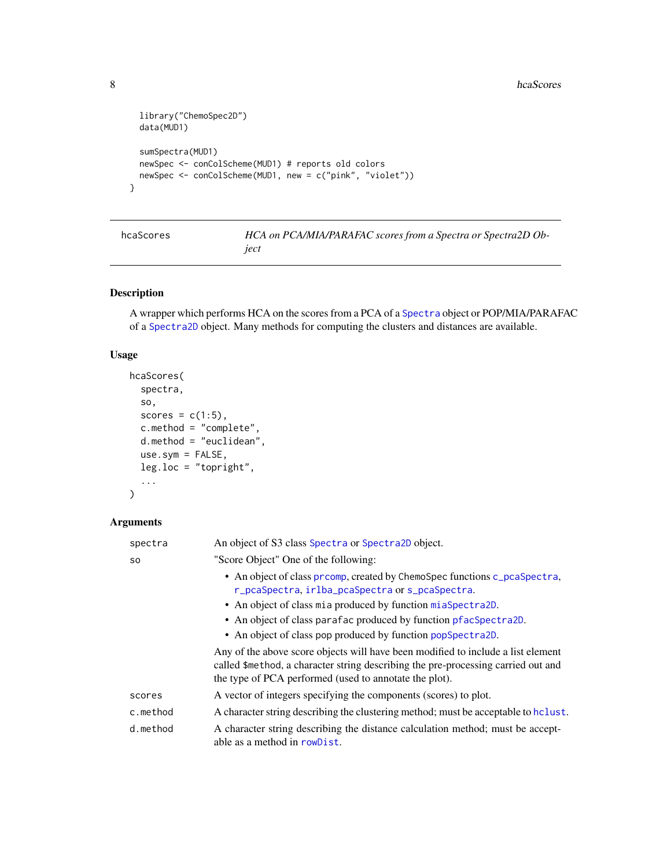```
library("ChemoSpec2D")
 data(MUD1)
 sumSpectra(MUD1)
 newSpec <- conColScheme(MUD1) # reports old colors
 newSpec <- conColScheme(MUD1, new = c("pink", "violet"))
}
```

| hcaScores | HCA on PCA/MIA/PARAFAC scores from a Spectra or Spectra2D Ob- |
|-----------|---------------------------------------------------------------|
|           | ject                                                          |

A wrapper which performs HCA on the scores from a PCA of a [Spectra](#page-0-0) object or POP/MIA/PARAFAC of a [Spectra2D](#page-0-0) object. Many methods for computing the clusters and distances are available.

## Usage

```
hcaScores(
  spectra,
  so,
  scores = c(1:5),
  c.method = "complete",
 d.method = "euclidean",
 use.sym = FALSE,
  leg.loc = "topright",
  ...
)
```

| spectra   | An object of S3 class Spectra or Spectra2D object.                                                                                                                                                                              |
|-----------|---------------------------------------------------------------------------------------------------------------------------------------------------------------------------------------------------------------------------------|
| <b>SO</b> | "Score Object" One of the following:                                                                                                                                                                                            |
|           | • An object of class prcomp, created by ChemoSpec functions c_pcaSpectra,<br>r_pcaSpectra, irlba_pcaSpectra or s_pcaSpectra.                                                                                                    |
|           | • An object of class mia produced by function miaSpectra2D.                                                                                                                                                                     |
|           | • An object of class parafac produced by function pfacSpectra2D.                                                                                                                                                                |
|           | • An object of class pop produced by function popSpectra2D.                                                                                                                                                                     |
|           | Any of the above score objects will have been modified to include a list element<br>called \$method, a character string describing the pre-processing carried out and<br>the type of PCA performed (used to annotate the plot). |
| scores    | A vector of integers specifying the components (scores) to plot.                                                                                                                                                                |
| c.method  | A character string describing the clustering method; must be acceptable to holist.                                                                                                                                              |
| d.method  | A character string describing the distance calculation method; must be accept-<br>able as a method in rowDist.                                                                                                                  |

<span id="page-7-0"></span>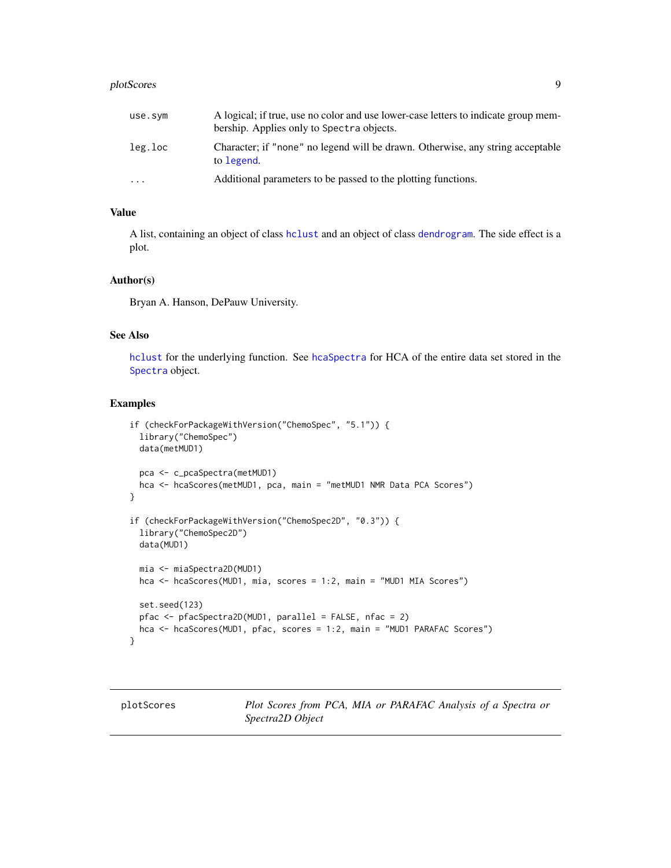#### <span id="page-8-0"></span>plotScores 99 and 2012 and 2012 and 2012 and 2012 and 2012 and 2012 and 2012 and 2012 and 2012 and 2012 and 20

| use.sym   | A logical; if true, use no color and use lower-case letters to indicate group mem-<br>bership. Applies only to Spectra objects. |
|-----------|---------------------------------------------------------------------------------------------------------------------------------|
| leg.loc   | Character; if "none" no legend will be drawn. Otherwise, any string acceptable<br>to legend.                                    |
| $\ddotsc$ | Additional parameters to be passed to the plotting functions.                                                                   |

## Value

A list, containing an object of class [hclust](#page-0-0) and an object of class [dendrogram](#page-0-0). The side effect is a plot.

#### Author(s)

Bryan A. Hanson, DePauw University.

## See Also

[hclust](#page-0-0) for the underlying function. See [hcaSpectra](#page-0-0) for HCA of the entire data set stored in the [Spectra](#page-0-0) object.

## Examples

```
if (checkForPackageWithVersion("ChemoSpec", "5.1")) {
 library("ChemoSpec")
 data(metMUD1)
 pca <- c_pcaSpectra(metMUD1)
 hca <- hcaScores(metMUD1, pca, main = "metMUD1 NMR Data PCA Scores")
}
if (checkForPackageWithVersion("ChemoSpec2D", "0.3")) {
 library("ChemoSpec2D")
 data(MUD1)
 mia <- miaSpectra2D(MUD1)
 hca <- hcaScores(MUD1, mia, scores = 1:2, main = "MUD1 MIA Scores")
 set.seed(123)
 pfac <- pfacSpectra2D(MUD1, parallel = FALSE, nfac = 2)
 hca <- hcaScores(MUD1, pfac, scores = 1:2, main = "MUD1 PARAFAC Scores")
}
```
plotScores *Plot Scores from PCA, MIA or PARAFAC Analysis of a Spectra or Spectra2D Object*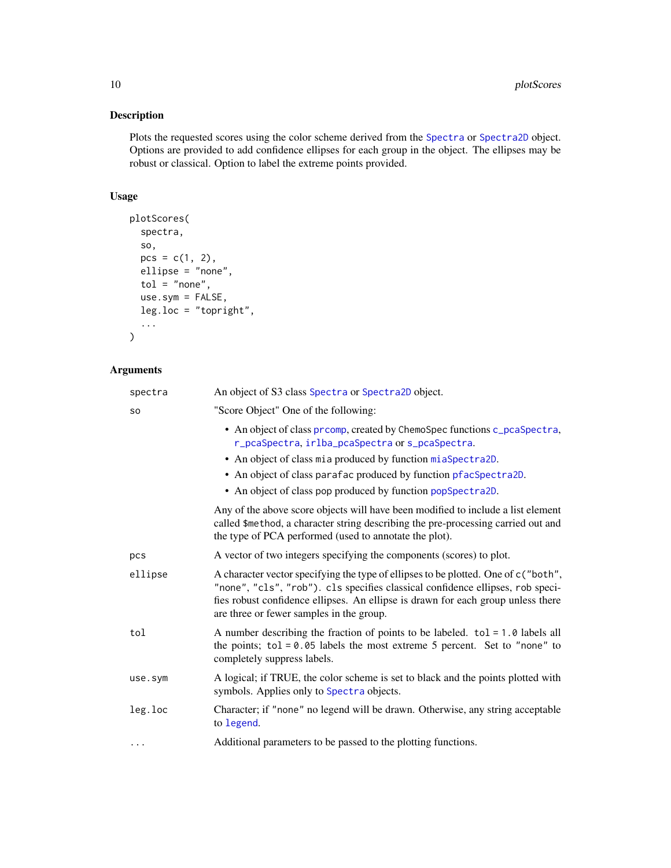<span id="page-9-0"></span>Plots the requested scores using the color scheme derived from the [Spectra](#page-0-0) or [Spectra2D](#page-0-0) object. Options are provided to add confidence ellipses for each group in the object. The ellipses may be robust or classical. Option to label the extreme points provided.

## Usage

```
plotScores(
  spectra,
  so,
 pcs = c(1, 2),
 ellipse = "none",
  tol = "none",use.sym = FALSE,
 leg.loc = "topright",
  ...
)
```

| spectra   | An object of S3 class Spectra or Spectra2D object.                                                                                                                                                                                                                                                    |
|-----------|-------------------------------------------------------------------------------------------------------------------------------------------------------------------------------------------------------------------------------------------------------------------------------------------------------|
| <b>SO</b> | "Score Object" One of the following:                                                                                                                                                                                                                                                                  |
|           | • An object of class prcomp, created by ChemoSpec functions c_pcaSpectra,<br>r_pcaSpectra, irlba_pcaSpectra or s_pcaSpectra.                                                                                                                                                                          |
|           | • An object of class mia produced by function miaSpectra2D.                                                                                                                                                                                                                                           |
|           | • An object of class parafac produced by function pfacSpectra2D.                                                                                                                                                                                                                                      |
|           | • An object of class pop produced by function popSpectra2D.                                                                                                                                                                                                                                           |
|           | Any of the above score objects will have been modified to include a list element<br>called \$method, a character string describing the pre-processing carried out and<br>the type of PCA performed (used to annotate the plot).                                                                       |
| pcs       | A vector of two integers specifying the components (scores) to plot.                                                                                                                                                                                                                                  |
| ellipse   | A character vector specifying the type of ellipses to be plotted. One of c ("both",<br>"none", "cls", "rob"). cls specifies classical confidence ellipses, rob speci-<br>fies robust confidence ellipses. An ellipse is drawn for each group unless there<br>are three or fewer samples in the group. |
| tol       | A number describing the fraction of points to be labeled. $tol = 1.0$ labels all<br>the points; $tol = 0.05$ labels the most extreme 5 percent. Set to "none" to<br>completely suppress labels.                                                                                                       |
| use.sym   | A logical; if TRUE, the color scheme is set to black and the points plotted with<br>symbols. Applies only to Spectra objects.                                                                                                                                                                         |
| leg.loc   | Character; if "none" no legend will be drawn. Otherwise, any string acceptable<br>to legend.                                                                                                                                                                                                          |
| .         | Additional parameters to be passed to the plotting functions.                                                                                                                                                                                                                                         |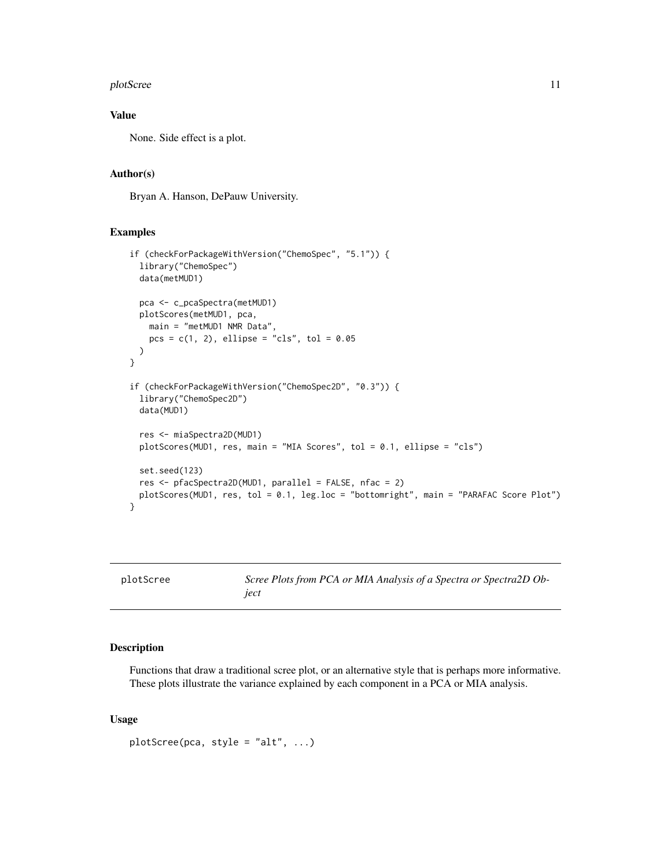#### <span id="page-10-0"></span>plotScree 21 and 2012 11 and 2012 12 and 2012 12 and 2012 12 and 2012 12 and 2012 12 and 2012 12 and 2012 12 and 2012 12 and 2012 12 and 2012 12 and 2012 12 and 2012 12 and 2012 12 and 2012 12 and 2012 12 and 2012 12 and 2

## Value

None. Side effect is a plot.

## Author(s)

Bryan A. Hanson, DePauw University.

#### Examples

```
if (checkForPackageWithVersion("ChemoSpec", "5.1")) {
 library("ChemoSpec")
 data(metMUD1)
 pca <- c_pcaSpectra(metMUD1)
 plotScores(metMUD1, pca,
   main = "metMUD1 NMR Data",
   pcs = c(1, 2), ellipse = "cls", tol = 0.05
 \lambda}
if (checkForPackageWithVersion("ChemoSpec2D", "0.3")) {
 library("ChemoSpec2D")
 data(MUD1)
 res <- miaSpectra2D(MUD1)
 plotScores(MUD1, res, main = "MIA Scores", tol = 0.1, ellipse = "cls")
 set.seed(123)
 res <- pfacSpectra2D(MUD1, parallel = FALSE, nfac = 2)
 plotScores(MUD1, res, tol = 0.1, leg.loc = "bottomright", main = "PARAFAC Score Plot")
}
```
plotScree *Scree Plots from PCA or MIA Analysis of a Spectra or Spectra2D Object*

#### Description

Functions that draw a traditional scree plot, or an alternative style that is perhaps more informative. These plots illustrate the variance explained by each component in a PCA or MIA analysis.

#### Usage

```
plotScree(pca, style = "alt", ...)
```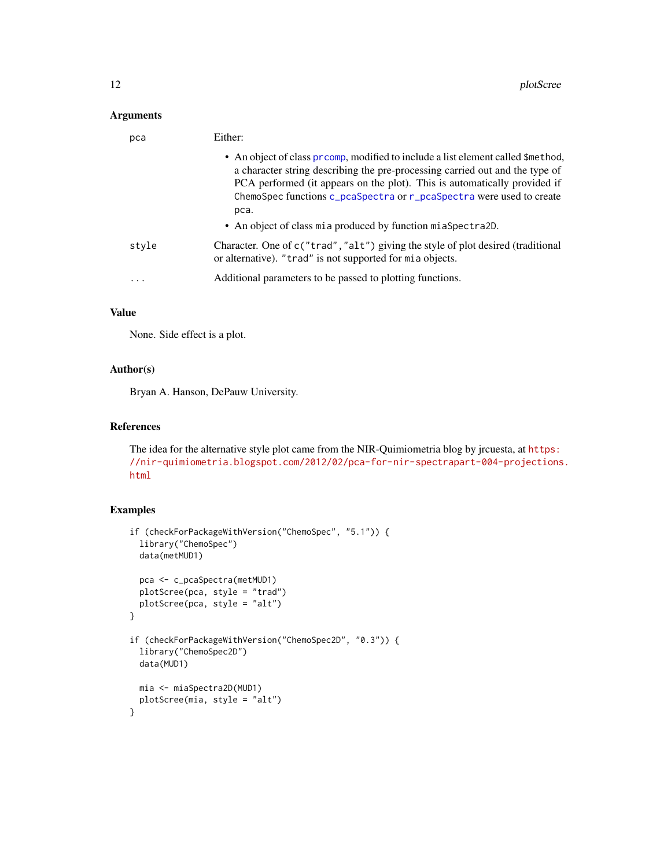## <span id="page-11-0"></span>Arguments

| pca   | Either:                                                                                                                                                                                                                                                                                                                      |
|-------|------------------------------------------------------------------------------------------------------------------------------------------------------------------------------------------------------------------------------------------------------------------------------------------------------------------------------|
|       | • An object of class promp, modified to include a list element called \$method,<br>a character string describing the pre-processing carried out and the type of<br>PCA performed (it appears on the plot). This is automatically provided if<br>ChemoSpec functions c_pcaSpectra or r_pcaSpectra were used to create<br>pca. |
|       | • An object of class mia produced by function miaSpectra2D.                                                                                                                                                                                                                                                                  |
| style | Character. One of c("trad", "alt") giving the style of plot desired (traditional<br>or alternative). "trad" is not supported for mia objects.                                                                                                                                                                                |
| .     | Additional parameters to be passed to plotting functions.                                                                                                                                                                                                                                                                    |

## Value

None. Side effect is a plot.

## Author(s)

Bryan A. Hanson, DePauw University.

## References

The idea for the alternative style plot came from the NIR-Quimiometria blog by jrcuesta, at [https:](https://nir-quimiometria.blogspot.com/2012/02/pca-for-nir-spectrapart-004-projections.html) [//nir-quimiometria.blogspot.com/2012/02/pca-for-nir-spectrapart-004-projections](https://nir-quimiometria.blogspot.com/2012/02/pca-for-nir-spectrapart-004-projections.html). [html](https://nir-quimiometria.blogspot.com/2012/02/pca-for-nir-spectrapart-004-projections.html)

```
if (checkForPackageWithVersion("ChemoSpec", "5.1")) {
 library("ChemoSpec")
 data(metMUD1)
 pca <- c_pcaSpectra(metMUD1)
 plotScree(pca, style = "trad")
 plotScree(pca, style = "alt")
}
if (checkForPackageWithVersion("ChemoSpec2D", "0.3")) {
 library("ChemoSpec2D")
 data(MUD1)
 mia <- miaSpectra2D(MUD1)
 plotScree(mia, style = "alt")
}
```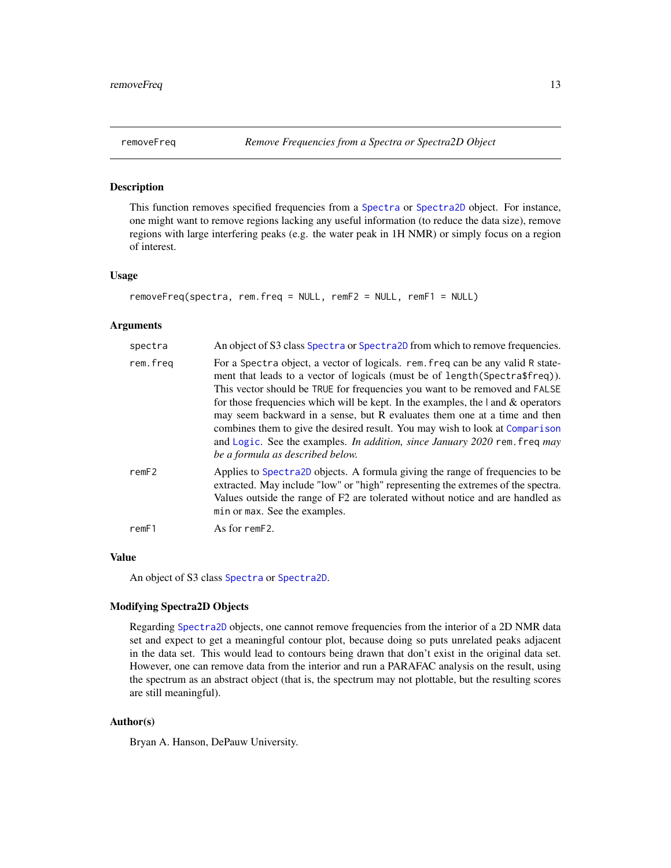<span id="page-12-1"></span><span id="page-12-0"></span>

This function removes specified frequencies from a [Spectra](#page-0-0) or [Spectra2D](#page-0-0) object. For instance, one might want to remove regions lacking any useful information (to reduce the data size), remove regions with large interfering peaks (e.g. the water peak in 1H NMR) or simply focus on a region of interest.

## Usage

```
removeFreq(spectra, rem.freq = NULL, remF2 = NULL, remF1 = NULL)
```
#### Arguments

| spectra  | An object of S3 class Spectra or Spectra 2D from which to remove frequencies.                                                                                                                                                                                                                                                                                                                                                                                                                                                                                                                                              |
|----------|----------------------------------------------------------------------------------------------------------------------------------------------------------------------------------------------------------------------------------------------------------------------------------------------------------------------------------------------------------------------------------------------------------------------------------------------------------------------------------------------------------------------------------------------------------------------------------------------------------------------------|
| rem.freg | For a Spectra object, a vector of logicals. rem. freq can be any valid R state-<br>ment that leads to a vector of logicals (must be of length (Spectra\$freq)).<br>This vector should be TRUE for frequencies you want to be removed and FALSE<br>for those frequencies which will be kept. In the examples, the $\vert$ and $\&$ operators<br>may seem backward in a sense, but R evaluates them one at a time and then<br>combines them to give the desired result. You may wish to look at Comparison<br>and Logic. See the examples. In addition, since January 2020 rem. freq may<br>be a formula as described below. |
| remF2    | Applies to Spectra 2D objects. A formula giving the range of frequencies to be<br>extracted. May include "low" or "high" representing the extremes of the spectra.<br>Values outside the range of F2 are tolerated without notice and are handled as<br>min or max. See the examples.                                                                                                                                                                                                                                                                                                                                      |
| remF1    | As for remF2.                                                                                                                                                                                                                                                                                                                                                                                                                                                                                                                                                                                                              |

## Value

An object of S3 class [Spectra](#page-0-0) or [Spectra2D](#page-0-0).

#### Modifying Spectra2D Objects

Regarding [Spectra2D](#page-0-0) objects, one cannot remove frequencies from the interior of a 2D NMR data set and expect to get a meaningful contour plot, because doing so puts unrelated peaks adjacent in the data set. This would lead to contours being drawn that don't exist in the original data set. However, one can remove data from the interior and run a PARAFAC analysis on the result, using the spectrum as an abstract object (that is, the spectrum may not plottable, but the resulting scores are still meaningful).

## Author(s)

Bryan A. Hanson, DePauw University.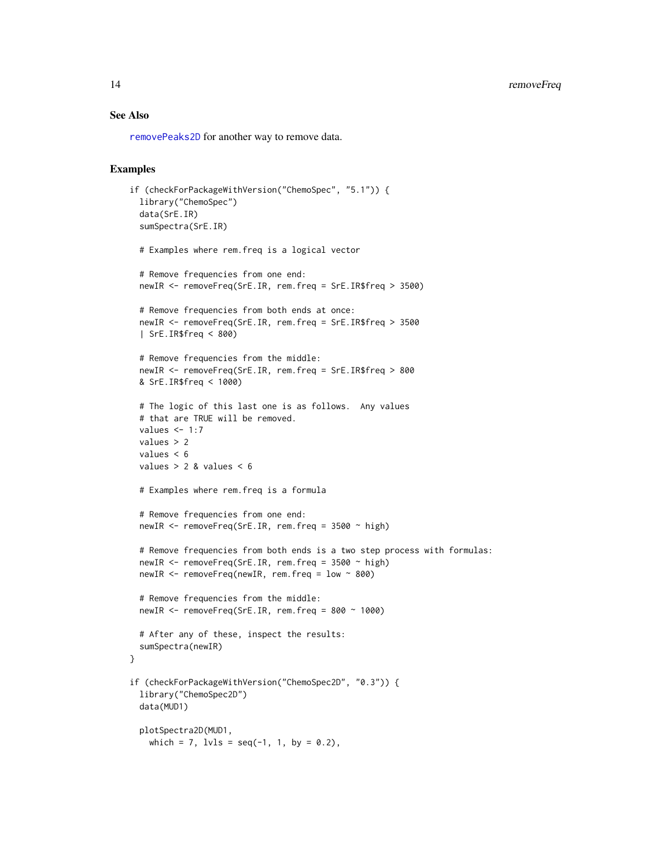## <span id="page-13-0"></span>14 removeFreq

## See Also

[removePeaks2D](#page-0-0) for another way to remove data.

```
if (checkForPackageWithVersion("ChemoSpec", "5.1")) {
 library("ChemoSpec")
 data(SrE.IR)
 sumSpectra(SrE.IR)
 # Examples where rem.freq is a logical vector
 # Remove frequencies from one end:
 newIR <- removeFreq(SrE.IR, rem.freq = SrE.IR$freq > 3500)
 # Remove frequencies from both ends at once:
 newIR <- removeFreq(SrE.IR, rem.freq = SrE.IR$freq > 3500
 | SrE.IR$freq < 800)
 # Remove frequencies from the middle:
 newIR <- removeFreq(SrE.IR, rem.freq = SrE.IR$freq > 800
 & SrE.IR$freq < 1000)
 # The logic of this last one is as follows. Any values
 # that are TRUE will be removed.
 values <-1:7values > 2
 values < 6
 values > 2 & values < 6
 # Examples where rem.freq is a formula
 # Remove frequencies from one end:
 newIR \leq removeFreq(SrE.IR, rem.freq = 3500 \sim high)
 # Remove frequencies from both ends is a two step process with formulas:
 newIR <- removeFreq(SrE.IR, rem.freq = 3500 ~ high)
 newIR <- removeFreq(newIR, rem.freq = low ~ 800)
 # Remove frequencies from the middle:
 newIR \leq removeFreq(SrE.IR, rem.freq = 800 \sim 1000)
 # After any of these, inspect the results:
 sumSpectra(newIR)
}
if (checkForPackageWithVersion("ChemoSpec2D", "0.3")) {
 library("ChemoSpec2D")
 data(MUD1)
 plotSpectra2D(MUD1,
   which = 7, lvls = seq(-1, 1, by = 0.2),
```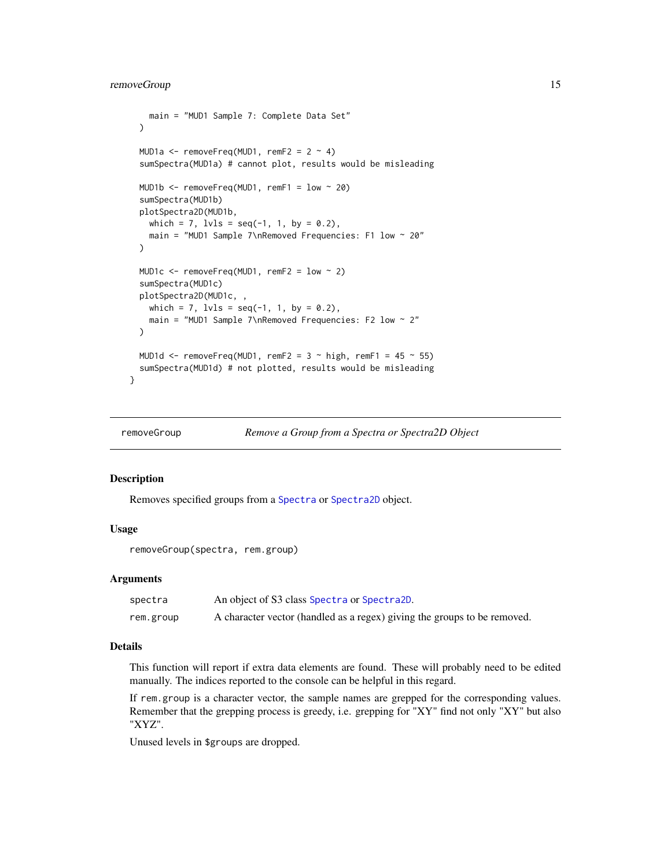```
main = "MUD1 Sample 7: Complete Data Set"
 )
 MUD1a \leq removeFreq(MUD1, remF2 = 2 \sim 4)
 sumSpectra(MUD1a) # cannot plot, results would be misleading
 MUD1b <- removeFreq(MUD1, remF1 = low ~ 20)
 sumSpectra(MUD1b)
 plotSpectra2D(MUD1b,
   which = 7, lvls = seq(-1, 1, by = 0.2),
   main = "MUD1 Sample 7\nRemoved Frequencies: F1 low ~ 20"
 \lambdaMUD1c \leq removeFreq(MUD1, remF2 = low \sim 2)
 sumSpectra(MUD1c)
 plotSpectra2D(MUD1c, ,
   which = 7, 1v1s = seq(-1, 1, by = 0.2),
    main = "MUD1 Sample 7\nRemoved Frequencies: F2 low ~ 2"
 )
 MUD1d \le removeFreq(MUD1, remF2 = 3 \sim high, remF1 = 45 \sim 55)
 sumSpectra(MUD1d) # not plotted, results would be misleading
}
```
<span id="page-14-1"></span>

```
removeGroup Remove a Group from a Spectra or Spectra2D Object
```
Removes specified groups from a [Spectra](#page-0-0) or [Spectra2D](#page-0-0) object.

#### Usage

removeGroup(spectra, rem.group)

#### Arguments

| spectra   | An object of S3 class Spectra or Spectra 2D.                             |
|-----------|--------------------------------------------------------------------------|
| rem.group | A character vector (handled as a regex) giving the groups to be removed. |

## Details

This function will report if extra data elements are found. These will probably need to be edited manually. The indices reported to the console can be helpful in this regard.

If rem.group is a character vector, the sample names are grepped for the corresponding values. Remember that the grepping process is greedy, i.e. grepping for "XY" find not only "XY" but also "XYZ".

Unused levels in \$groups are dropped.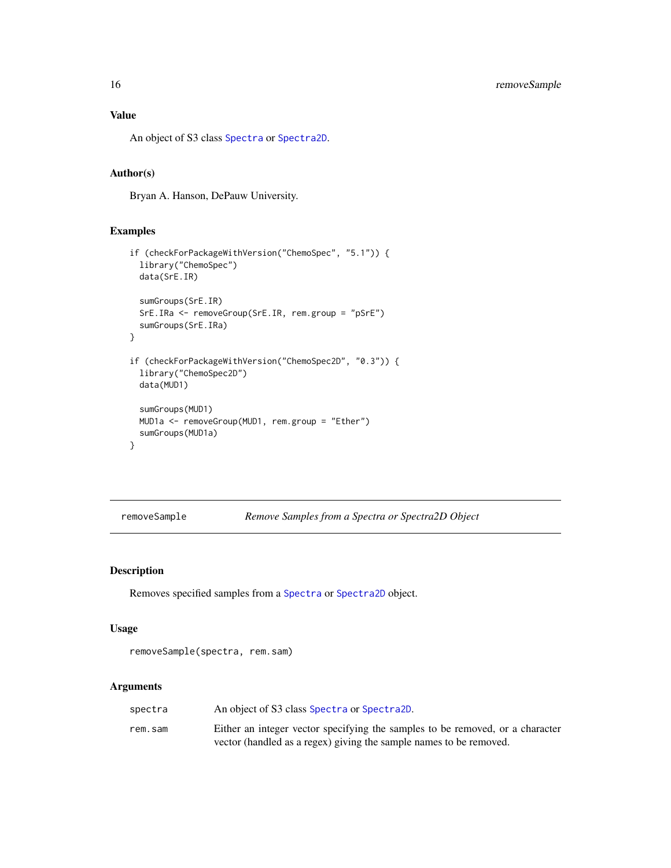<span id="page-15-0"></span>An object of S3 class [Spectra](#page-0-0) or [Spectra2D](#page-0-0).

#### Author(s)

Bryan A. Hanson, DePauw University.

## Examples

```
if (checkForPackageWithVersion("ChemoSpec", "5.1")) {
 library("ChemoSpec")
 data(SrE.IR)
 sumGroups(SrE.IR)
 SrE.IRa <- removeGroup(SrE.IR, rem.group = "pSrE")
 sumGroups(SrE.IRa)
}
if (checkForPackageWithVersion("ChemoSpec2D", "0.3")) {
 library("ChemoSpec2D")
 data(MUD1)
 sumGroups(MUD1)
 MUD1a <- removeGroup(MUD1, rem.group = "Ether")
 sumGroups(MUD1a)
}
```
<span id="page-15-1"></span>removeSample *Remove Samples from a Spectra or Spectra2D Object*

#### Description

Removes specified samples from a [Spectra](#page-0-0) or [Spectra2D](#page-0-0) object.

#### Usage

removeSample(spectra, rem.sam)

| spectra | An object of S3 class Spectra or Spectra 2D.                                  |
|---------|-------------------------------------------------------------------------------|
| rem.sam | Either an integer vector specifying the samples to be removed, or a character |
|         | vector (handled as a regex) giving the sample names to be removed.            |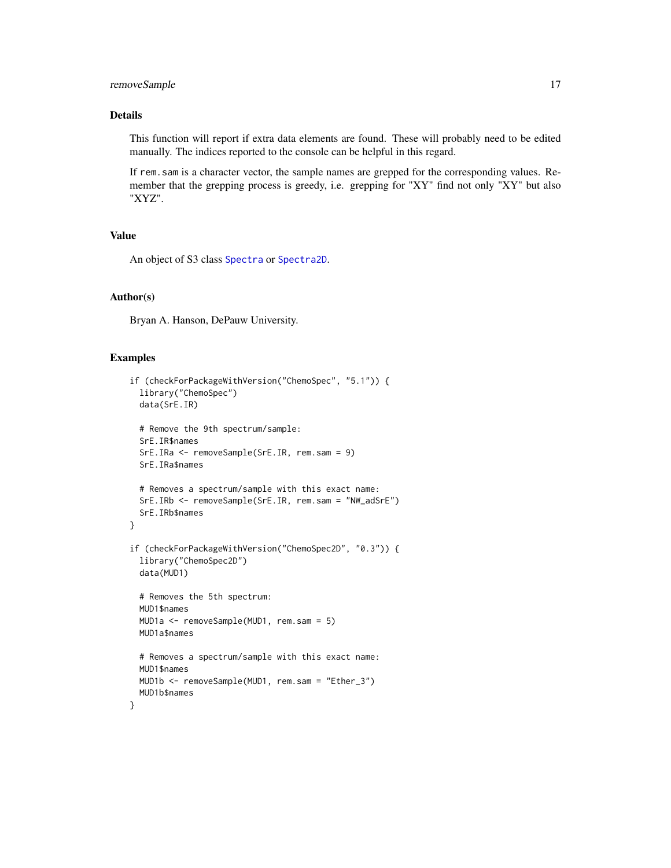## <span id="page-16-0"></span>removeSample 17

## Details

This function will report if extra data elements are found. These will probably need to be edited manually. The indices reported to the console can be helpful in this regard.

If rem.sam is a character vector, the sample names are grepped for the corresponding values. Remember that the grepping process is greedy, i.e. grepping for "XY" find not only "XY" but also "XYZ".

## Value

An object of S3 class [Spectra](#page-0-0) or [Spectra2D](#page-0-0).

#### Author(s)

Bryan A. Hanson, DePauw University.

```
if (checkForPackageWithVersion("ChemoSpec", "5.1")) {
 library("ChemoSpec")
 data(SrE.IR)
 # Remove the 9th spectrum/sample:
 SrE.IR$names
 SrE.IRa <- removeSample(SrE.IR, rem.sam = 9)
 SrE.IRa$names
 # Removes a spectrum/sample with this exact name:
 SrE.IRb <- removeSample(SrE.IR, rem.sam = "NW_adSrE")
 SrE.IRb$names
}
if (checkForPackageWithVersion("ChemoSpec2D", "0.3")) {
 library("ChemoSpec2D")
 data(MUD1)
 # Removes the 5th spectrum:
 MUD1$names
 MUD1a <- removeSample(MUD1, rem.sam = 5)
 MUD1a$names
 # Removes a spectrum/sample with this exact name:
 MUD1$names
 MUD1b <- removeSample(MUD1, rem.sam = "Ether_3")
 MUD1b$names
}
```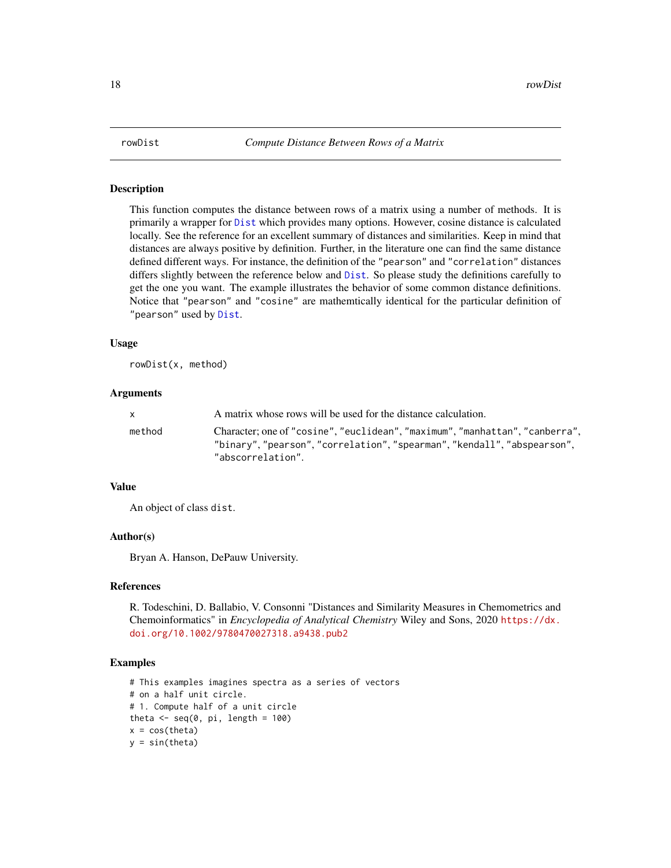<span id="page-17-1"></span><span id="page-17-0"></span>

This function computes the distance between rows of a matrix using a number of methods. It is primarily a wrapper for [Dist](#page-0-0) which provides many options. However, cosine distance is calculated locally. See the reference for an excellent summary of distances and similarities. Keep in mind that distances are always positive by definition. Further, in the literature one can find the same distance defined different ways. For instance, the definition of the "pearson" and "correlation" distances differs slightly between the reference below and [Dist](#page-0-0). So please study the definitions carefully to get the one you want. The example illustrates the behavior of some common distance definitions. Notice that "pearson" and "cosine" are mathemtically identical for the particular definition of "pearson" used by [Dist](#page-0-0).

## Usage

rowDist(x, method)

#### Arguments

| X      | A matrix whose rows will be used for the distance calculation.                                                                                                           |
|--------|--------------------------------------------------------------------------------------------------------------------------------------------------------------------------|
| method | Character; one of "cosine", "euclidean", "maximum", "manhattan", "canberra",<br>"binary","pearson","correlation","spearman","kendall","abspearson",<br>"abscorrelation". |

## Value

An object of class dist.

#### Author(s)

Bryan A. Hanson, DePauw University.

#### References

R. Todeschini, D. Ballabio, V. Consonni "Distances and Similarity Measures in Chemometrics and Chemoinformatics" in *Encyclopedia of Analytical Chemistry* Wiley and Sons, 2020 [https://dx.](https://dx.doi.org/10.1002/9780470027318.a9438.pub2) [doi.org/10.1002/9780470027318.a9438.pub2](https://dx.doi.org/10.1002/9780470027318.a9438.pub2)

```
# This examples imagines spectra as a series of vectors
# on a half unit circle.
# 1. Compute half of a unit circle
theta \leq seq(0, pi, length = 100)
x = cos(theta)y = sin(theta)
```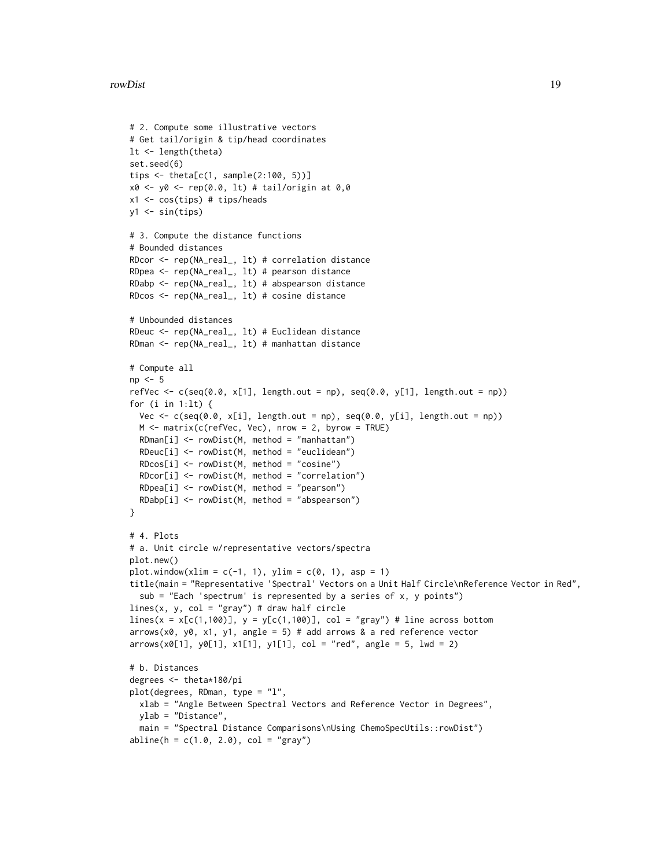#### rowDist the contract of the contract of the contract of the contract of the contract of the contract of the contract of the contract of the contract of the contract of the contract of the contract of the contract of the co

```
# 2. Compute some illustrative vectors
# Get tail/origin & tip/head coordinates
lt <- length(theta)
set.seed(6)
tips <- theta[c(1, sample(2:100, 5))]
x0 \le -y0 \le -\text{rep}(0.0, 1t) # tail/origin at 0,0
x1 <- cos(tips) # tips/heads
y1 \leftarrow \sin(\text{tips})# 3. Compute the distance functions
# Bounded distances
RDcor <- rep(NA_real_, lt) # correlation distance
RDpea <- rep(NA_real_, lt) # pearson distance
RDabp <- rep(NA_real_, lt) # abspearson distance
RDcos <- rep(NA_real_, lt) # cosine distance
# Unbounded distances
RDeuc <- rep(NA_real_, lt) # Euclidean distance
RDman <- rep(NA_real_, lt) # manhattan distance
# Compute all
np \leq -5refVec \leq c(seq(0.0, x[1], length.out = np), seq(0.0, y[1], length.out = np))
for (i in 1:lt) {
  Vec \leq c(seq(0.0, x[i], length.out = np), seq(0.0, y[i], length.out = np))
  M <- matrix(c(refVec, Vec), nrow = 2, byrow = TRUE)
  RDman[i] <- rowDist(M, method = "manhattan")
  RDeuc[i] <- rowDist(M, method = "euclidean")
  RDcos[i] <- rowDist(M, method = "cosine")
  RDcor[i] <- rowDist(M, method = "correlation")
  RDpea[i] <- rowDist(M, method = "pearson")
  RDabp[i] <- rowDist(M, method = "abspearson")
}
# 4. Plots
# a. Unit circle w/representative vectors/spectra
plot.new()
plot.window(xlim = c(-1, 1), ylim = c(0, 1), asp = 1)title(main = "Representative 'Spectral' Vectors on a Unit Half Circle\nReference Vector in Red",
  sub = "Each 'spectrum' is represented by a series of x, y points")
lines(x, y, col = "gray") # draw half circle
lines(x = x[c(1,100)], y = y[c(1,100)], col = "gray") # line across bottomarrows(x0, y0, x1, y1, angle = 5) # add arrows & a red reference vector
arrows(x0[1], y0[1], x1[1], y1[1], col = "red", angle = 5, lwd = 2)# b. Distances
degrees <- theta*180/pi
plot(degrees, RDman, type = "l",
  xlab = "Angle Between Spectral Vectors and Reference Vector in Degrees",
  ylab = "Distance",
  main = "Spectral Distance Comparisons\nUsing ChemoSpecUtils::rowDist")
abline(h = c(1.0, 2.0), col = "gray")
```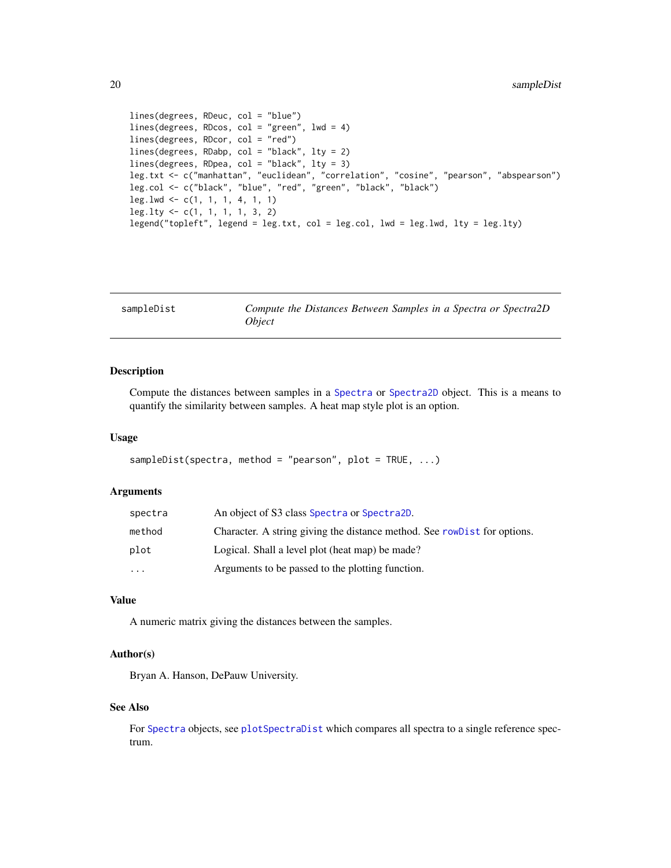```
lines(degrees, RDeuc, col = "blue")
lines(degrees, RDcos, col = "green", lwd = 4)
lines(degrees, RDcor, col = "red")
lines(degrees, RDabp, col = "black", lty = 2)
lines(degrees, RDpea, col = "black", lty = 3)
leg.txt <- c("manhattan", "euclidean", "correlation", "cosine", "pearson", "abspearson")
leg.col <- c("black", "blue", "red", "green", "black", "black")
leg.lwd <- c(1, 1, 1, 4, 1, 1)
leg.lty <- c(1, 1, 1, 1, 3, 2)
legend("topleft", legend = leg.txt, col = leg.col, lwd = leg.lwd, lty = leg.lty)
```

| sampleDist | Compute the Distances Between Samples in a Spectra or Spectra2D |  |  |  |  |
|------------|-----------------------------------------------------------------|--|--|--|--|
|            | <i><b>Obiect</b></i>                                            |  |  |  |  |

Compute the distances between samples in a [Spectra](#page-0-0) or [Spectra2D](#page-0-0) object. This is a means to quantify the similarity between samples. A heat map style plot is an option.

#### Usage

```
sampleDist(spectra, method = "pearson", plot = TRUE, \ldots)
```
#### Arguments

| spectra   | An object of S3 class Spectra or Spectra2D.                               |
|-----------|---------------------------------------------------------------------------|
| method    | Character. A string giving the distance method. See row Dist for options. |
| plot      | Logical. Shall a level plot (heat map) be made?                           |
| $\ddotsc$ | Arguments to be passed to the plotting function.                          |

## Value

A numeric matrix giving the distances between the samples.

## Author(s)

Bryan A. Hanson, DePauw University.

#### See Also

For [Spectra](#page-0-0) objects, see [plotSpectraDist](#page-0-0) which compares all spectra to a single reference spectrum.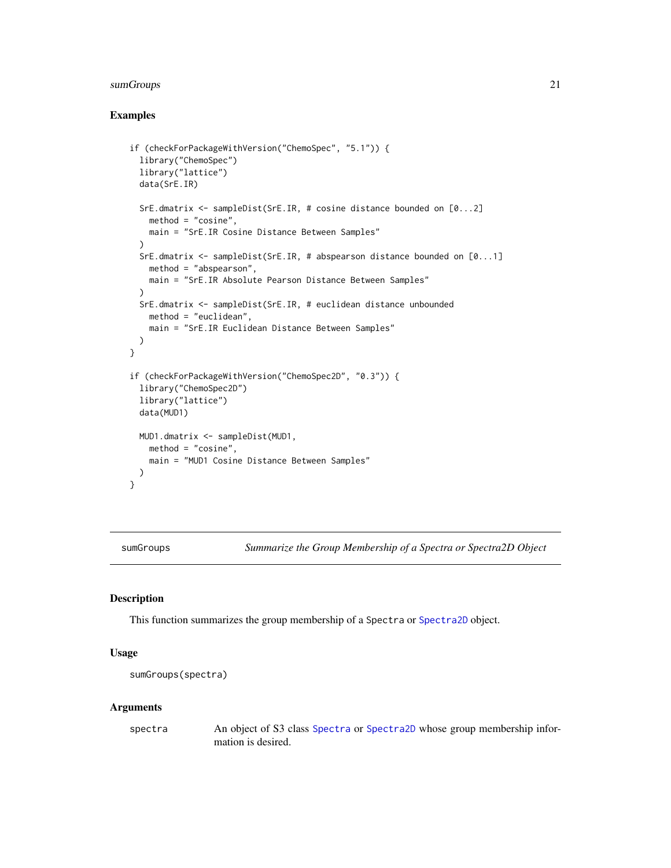## <span id="page-20-0"></span>sumGroups 21

## Examples

```
if (checkForPackageWithVersion("ChemoSpec", "5.1")) {
 library("ChemoSpec")
 library("lattice")
 data(SrE.IR)
 SrE.dmatrix <- sampleDist(SrE.IR, # cosine distance bounded on [0...2]
   method = "cosine",
   main = "SrE.IR Cosine Distance Between Samples"
 )
 SrE.dmatrix <- sampleDist(SrE.IR, # abspearson distance bounded on [0...1]
   method = "abspearson",
   main = "SrE.IR Absolute Pearson Distance Between Samples"
 \lambdaSrE.dmatrix <- sampleDist(SrE.IR, # euclidean distance unbounded
   method = "euclidean",
   main = "SrE.IR Euclidean Distance Between Samples"
 )
}
if (checkForPackageWithVersion("ChemoSpec2D", "0.3")) {
 library("ChemoSpec2D")
 library("lattice")
 data(MUD1)
 MUD1.dmatrix <- sampleDist(MUD1,
   method = "cosine",
   main = "MUD1 Cosine Distance Between Samples"
 )
}
```
sumGroups *Summarize the Group Membership of a Spectra or Spectra2D Object*

#### Description

This function summarizes the group membership of a Spectra or [Spectra2D](#page-0-0) object.

## Usage

```
sumGroups(spectra)
```
#### Arguments

spectra An object of S3 class [Spectra](#page-0-0) or [Spectra2D](#page-0-0) whose group membership information is desired.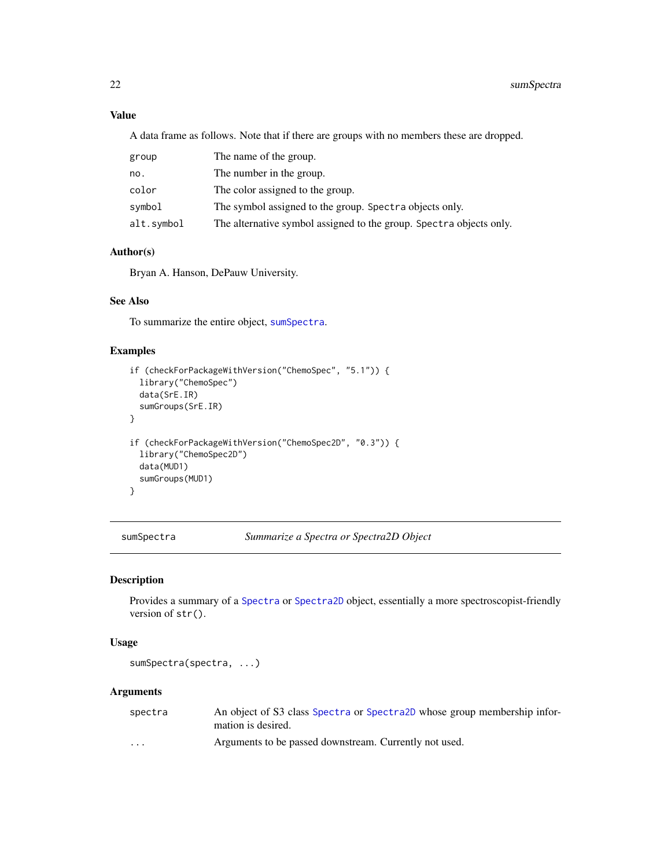## Value

A data frame as follows. Note that if there are groups with no members these are dropped.

| group      | The name of the group.                                              |
|------------|---------------------------------------------------------------------|
| no.        | The number in the group.                                            |
| color      | The color assigned to the group.                                    |
| svmbol     | The symbol assigned to the group. Spectra objects only.             |
| alt.symbol | The alternative symbol assigned to the group. Spectra objects only. |

## Author(s)

Bryan A. Hanson, DePauw University.

## See Also

To summarize the entire object, [sumSpectra](#page-21-1).

## Examples

```
if (checkForPackageWithVersion("ChemoSpec", "5.1")) {
 library("ChemoSpec")
 data(SrE.IR)
 sumGroups(SrE.IR)
}
if (checkForPackageWithVersion("ChemoSpec2D", "0.3")) {
 library("ChemoSpec2D")
 data(MUD1)
 sumGroups(MUD1)
}
```
<span id="page-21-1"></span>sumSpectra *Summarize a Spectra or Spectra2D Object*

### Description

Provides a summary of a [Spectra](#page-0-0) or [Spectra2D](#page-0-0) object, essentially a more spectroscopist-friendly version of str().

#### Usage

sumSpectra(spectra, ...)

| spectra  | An object of S3 class Spectra or Spectra 2D whose group membership infor-<br>mation is desired. |
|----------|-------------------------------------------------------------------------------------------------|
| $\cdots$ | Arguments to be passed downstream. Currently not used.                                          |

<span id="page-21-0"></span>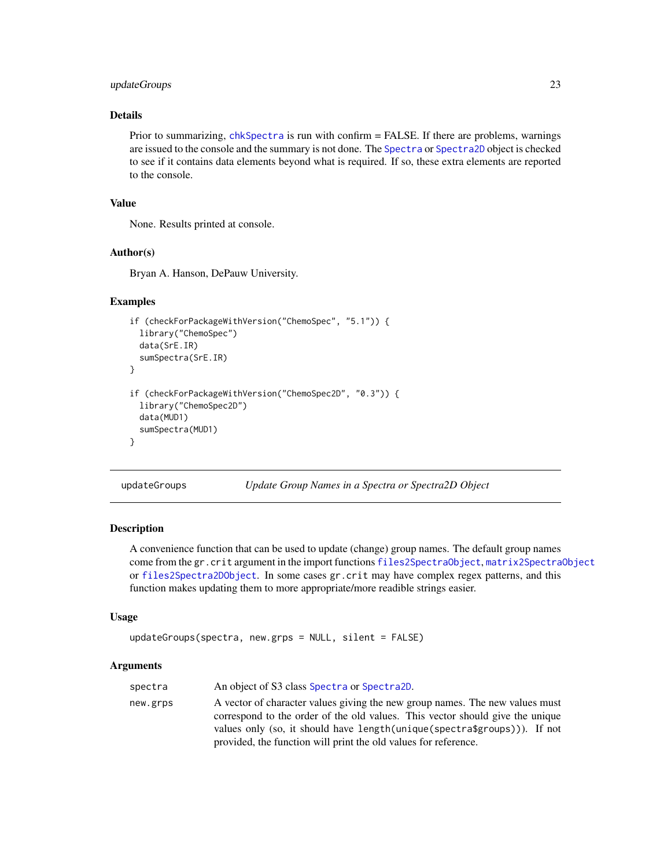## <span id="page-22-0"></span>updateGroups 23

## Details

Prior to summarizing, [chkSpectra](#page-3-1) is run with confirm = FALSE. If there are problems, warnings are issued to the console and the summary is not done. The [Spectra](#page-0-0) or [Spectra2D](#page-0-0) object is checked to see if it contains data elements beyond what is required. If so, these extra elements are reported to the console.

## Value

None. Results printed at console.

#### Author(s)

Bryan A. Hanson, DePauw University.

## Examples

```
if (checkForPackageWithVersion("ChemoSpec", "5.1")) {
 library("ChemoSpec")
 data(SrE.IR)
 sumSpectra(SrE.IR)
}
if (checkForPackageWithVersion("ChemoSpec2D", "0.3")) {
 library("ChemoSpec2D")
 data(MUD1)
 sumSpectra(MUD1)
}
```
updateGroups *Update Group Names in a Spectra or Spectra2D Object*

## Description

A convenience function that can be used to update (change) group names. The default group names come from the gr.crit argument in the import functions [files2SpectraObject](#page-0-0), [matrix2SpectraObject](#page-0-0) or [files2Spectra2DObject](#page-0-0). In some cases gr.crit may have complex regex patterns, and this function makes updating them to more appropriate/more readible strings easier.

#### Usage

```
updateGroups(spectra, new.grps = NULL, silent = FALSE)
```

| spectra  | An object of S3 class Spectra or Spectra 2D.                                                                                                                                                                                                                                                                   |
|----------|----------------------------------------------------------------------------------------------------------------------------------------------------------------------------------------------------------------------------------------------------------------------------------------------------------------|
| new.grps | A vector of character values giving the new group names. The new values must<br>correspond to the order of the old values. This vector should give the unique<br>values only (so, it should have length (unique (spectra\$groups))). If not<br>provided, the function will print the old values for reference. |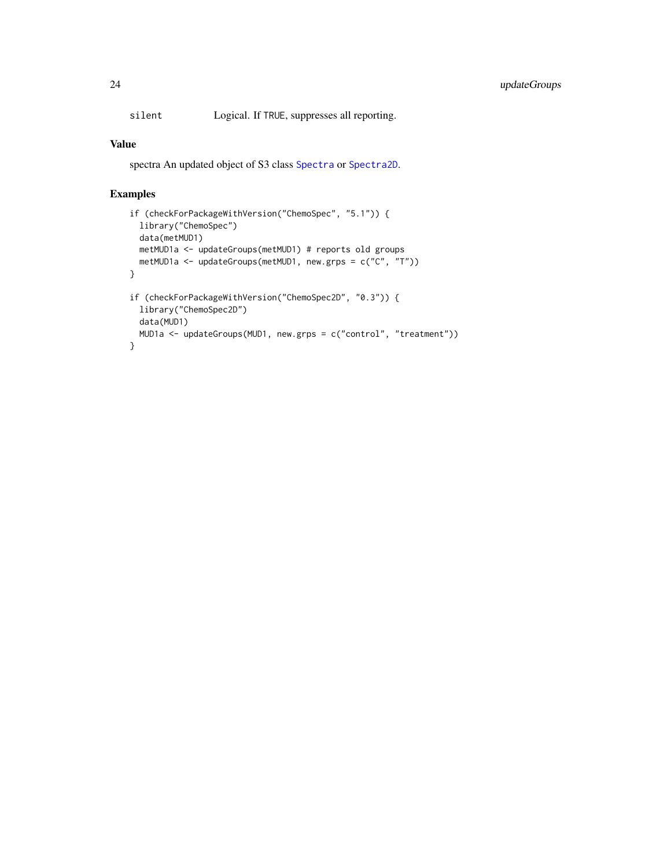<span id="page-23-0"></span>silent Logical. If TRUE, suppresses all reporting.

## Value

spectra An updated object of S3 class [Spectra](#page-0-0) or [Spectra2D](#page-0-0).

```
if (checkForPackageWithVersion("ChemoSpec", "5.1")) {
  library("ChemoSpec")
  data(metMUD1)
  metMUD1a <- updateGroups(metMUD1) # reports old groups
  metMUD1a <- updateGroups(metMUD1, new.grps = c("C", "T"))
}
if (checkForPackageWithVersion("ChemoSpec2D", "0.3")) {
  library("ChemoSpec2D")
 data(MUD1)
 MUD1a <- updateGroups(MUD1, new.grps = c("control", "treatment"))
}
```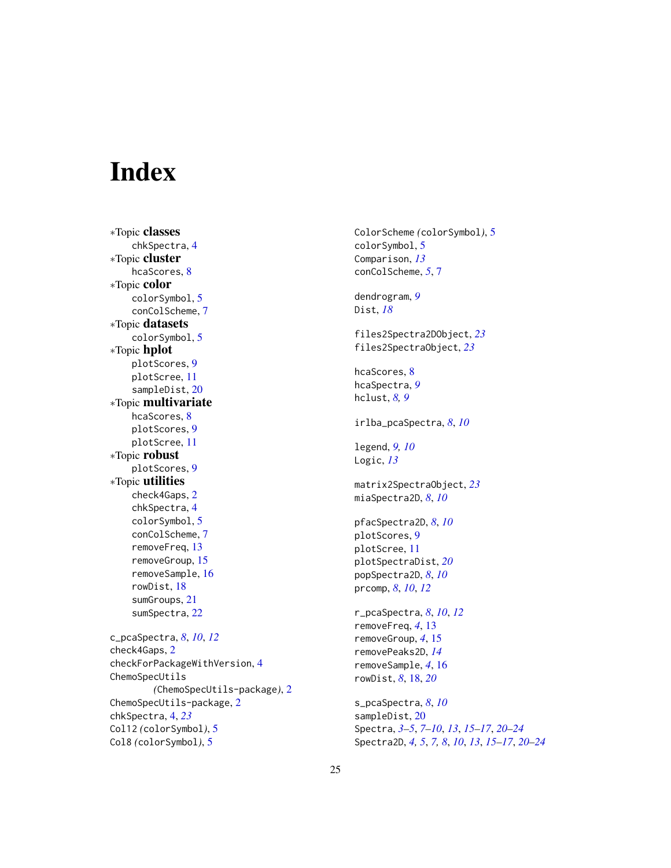# <span id="page-24-0"></span>**Index**

∗Topic classes chkSpectra, [4](#page-3-0) ∗Topic cluster hcaScores, [8](#page-7-0) ∗Topic color colorSymbol, [5](#page-4-0) conColScheme, [7](#page-6-0) ∗Topic datasets colorSymbol, [5](#page-4-0) ∗Topic hplot plotScores, [9](#page-8-0) plotScree, [11](#page-10-0) sampleDist, [20](#page-19-0) ∗Topic multivariate hcaScores, [8](#page-7-0) plotScores, [9](#page-8-0) plotScree, [11](#page-10-0) ∗Topic robust plotScores, [9](#page-8-0) ∗Topic utilities check4Gaps, [2](#page-1-0) chkSpectra, [4](#page-3-0) colorSymbol, [5](#page-4-0) conColScheme, [7](#page-6-0) removeFreq, [13](#page-12-0) removeGroup, [15](#page-14-0) removeSample, [16](#page-15-0) rowDist, [18](#page-17-0) sumGroups, [21](#page-20-0) sumSpectra, [22](#page-21-0) c\_pcaSpectra, *[8](#page-7-0)*, *[10](#page-9-0)*, *[12](#page-11-0)* check4Gaps, [2](#page-1-0) checkForPackageWithVersion, [4](#page-3-0) ChemoSpecUtils *(*ChemoSpecUtils-package*)*, [2](#page-1-0) ChemoSpecUtils-package, [2](#page-1-0) chkSpectra, [4,](#page-3-0) *[23](#page-22-0)* Col12 *(*colorSymbol*)*, [5](#page-4-0)

Col8 *(*colorSymbol*)*, [5](#page-4-0)

ColorScheme *(*colorSymbol*)*, [5](#page-4-0) colorSymbol, [5](#page-4-0) Comparison, *[13](#page-12-0)* conColScheme, *[5](#page-4-0)*, [7](#page-6-0) dendrogram, *[9](#page-8-0)* Dist, *[18](#page-17-0)* files2Spectra2DObject, *[23](#page-22-0)* files2SpectraObject, *[23](#page-22-0)* hcaScores, [8](#page-7-0) hcaSpectra, *[9](#page-8-0)* hclust, *[8,](#page-7-0) [9](#page-8-0)* irlba\_pcaSpectra, *[8](#page-7-0)*, *[10](#page-9-0)* legend, *[9,](#page-8-0) [10](#page-9-0)* Logic, *[13](#page-12-0)* matrix2SpectraObject, *[23](#page-22-0)* miaSpectra2D, *[8](#page-7-0)*, *[10](#page-9-0)* pfacSpectra2D, *[8](#page-7-0)*, *[10](#page-9-0)* plotScores, [9](#page-8-0) plotScree, [11](#page-10-0) plotSpectraDist, *[20](#page-19-0)* popSpectra2D, *[8](#page-7-0)*, *[10](#page-9-0)* prcomp, *[8](#page-7-0)*, *[10](#page-9-0)*, *[12](#page-11-0)* r\_pcaSpectra, *[8](#page-7-0)*, *[10](#page-9-0)*, *[12](#page-11-0)* removeFreq, *[4](#page-3-0)*, [13](#page-12-0) removeGroup, *[4](#page-3-0)*, [15](#page-14-0) removePeaks2D, *[14](#page-13-0)* removeSample, *[4](#page-3-0)*, [16](#page-15-0) rowDist, *[8](#page-7-0)*, [18,](#page-17-0) *[20](#page-19-0)* s\_pcaSpectra, *[8](#page-7-0)*, *[10](#page-9-0)* sampleDist, [20](#page-19-0) Spectra, *[3](#page-2-0)[–5](#page-4-0)*, *[7](#page-6-0)[–10](#page-9-0)*, *[13](#page-12-0)*, *[15](#page-14-0)[–17](#page-16-0)*, *[20](#page-19-0)[–24](#page-23-0)* Spectra2D, *[4,](#page-3-0) [5](#page-4-0)*, *[7,](#page-6-0) [8](#page-7-0)*, *[10](#page-9-0)*, *[13](#page-12-0)*, *[15](#page-14-0)[–17](#page-16-0)*, *[20](#page-19-0)[–24](#page-23-0)*